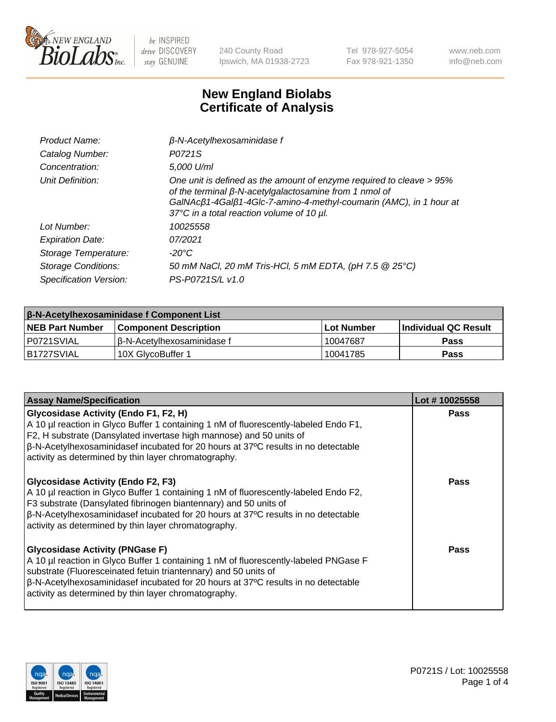

240 County Road Ipswich, MA 01938-2723 Tel 978-927-5054 Fax 978-921-1350 www.neb.com info@neb.com

## **New England Biolabs Certificate of Analysis**

| Product Name:              | $\beta$ -N-Acetylhexosaminidase f                                                                                                                                                                                                                        |
|----------------------------|----------------------------------------------------------------------------------------------------------------------------------------------------------------------------------------------------------------------------------------------------------|
| Catalog Number:            | P0721S                                                                                                                                                                                                                                                   |
| Concentration:             | 5,000 U/ml                                                                                                                                                                                                                                               |
| Unit Definition:           | One unit is defined as the amount of enzyme required to cleave > 95%<br>of the terminal $\beta$ -N-acetylgalactosamine from 1 nmol of<br>GalNAcß1-4Galß1-4Glc-7-amino-4-methyl-coumarin (AMC), in 1 hour at<br>37°C in a total reaction volume of 10 µl. |
| Lot Number:                | 10025558                                                                                                                                                                                                                                                 |
| <b>Expiration Date:</b>    | 07/2021                                                                                                                                                                                                                                                  |
| Storage Temperature:       | -20°C                                                                                                                                                                                                                                                    |
| <b>Storage Conditions:</b> | 50 mM NaCl, 20 mM Tris-HCl, 5 mM EDTA, (pH 7.5 @ 25°C)                                                                                                                                                                                                   |
| Specification Version:     | PS-P0721S/L v1.0                                                                                                                                                                                                                                         |

| <b>β-N-Acetylhexosaminidase f Component List</b> |                              |            |                             |  |
|--------------------------------------------------|------------------------------|------------|-----------------------------|--|
| <b>NEB Part Number</b>                           | <b>Component Description</b> | Lot Number | <b>Individual QC Result</b> |  |
| IP0721SVIAL                                      | I ß-N-Acetvlhexosaminidase f | 10047687   | Pass                        |  |
| B1727SVIAL                                       | 10X GlvcoBuffer 1            | 10041785   | <b>Pass</b>                 |  |

| <b>Assay Name/Specification</b>                                                                                                                                                                                                                                                                                                                                 | Lot #10025558 |
|-----------------------------------------------------------------------------------------------------------------------------------------------------------------------------------------------------------------------------------------------------------------------------------------------------------------------------------------------------------------|---------------|
| <b>Glycosidase Activity (Endo F1, F2, H)</b><br>A 10 µl reaction in Glyco Buffer 1 containing 1 nM of fluorescently-labeled Endo F1,<br>F2, H substrate (Dansylated invertase high mannose) and 50 units of<br>$\beta$ -N-Acetylhexosaminidasef incubated for 20 hours at 37°C results in no detectable<br>activity as determined by thin layer chromatography. | <b>Pass</b>   |
| <b>Glycosidase Activity (Endo F2, F3)</b><br>A 10 µl reaction in Glyco Buffer 1 containing 1 nM of fluorescently-labeled Endo F2,<br>F3 substrate (Dansylated fibrinogen biantennary) and 50 units of<br> β-N-Acetylhexosaminidasef incubated for 20 hours at 37°C results in no detectable<br>activity as determined by thin layer chromatography.             | Pass          |
| <b>Glycosidase Activity (PNGase F)</b><br>A 10 µl reaction in Glyco Buffer 1 containing 1 nM of fluorescently-labeled PNGase F<br>substrate (Fluoresceinated fetuin triantennary) and 50 units of<br>$\beta$ -N-Acetylhexosaminidasef incubated for 20 hours at 37°C results in no detectable<br>activity as determined by thin layer chromatography.           | Pass          |

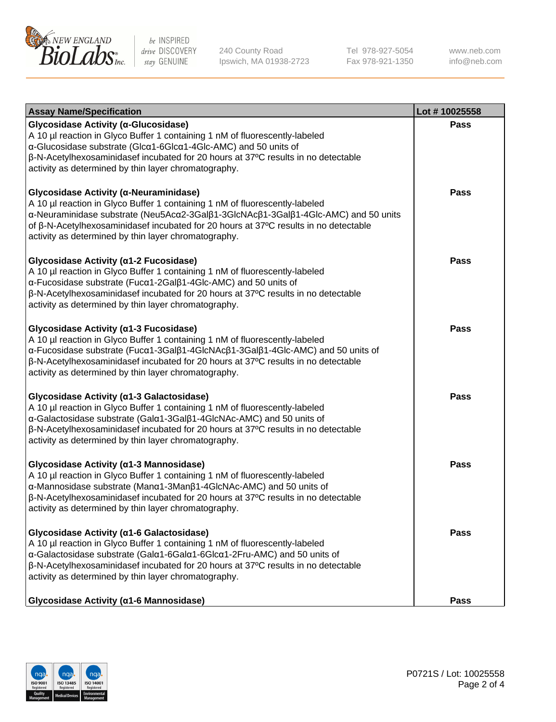

240 County Road Ipswich, MA 01938-2723 Tel 978-927-5054 Fax 978-921-1350 www.neb.com info@neb.com

| <b>Assay Name/Specification</b>                                                                                                                                                                                                                                                                                                                                | Lot #10025558 |
|----------------------------------------------------------------------------------------------------------------------------------------------------------------------------------------------------------------------------------------------------------------------------------------------------------------------------------------------------------------|---------------|
| Glycosidase Activity (α-Glucosidase)<br>A 10 µl reaction in Glyco Buffer 1 containing 1 nM of fluorescently-labeled<br>α-Glucosidase substrate (Glcα1-6Glcα1-4Glc-AMC) and 50 units of<br>β-N-Acetylhexosaminidasef incubated for 20 hours at 37°C results in no detectable<br>activity as determined by thin layer chromatography.                            | Pass          |
| Glycosidase Activity (α-Neuraminidase)<br>A 10 µl reaction in Glyco Buffer 1 containing 1 nM of fluorescently-labeled<br>α-Neuraminidase substrate (Neu5Acα2-3Galβ1-3GlcNAcβ1-3Galβ1-4Glc-AMC) and 50 units<br>of β-N-Acetylhexosaminidasef incubated for 20 hours at 37°C results in no detectable<br>activity as determined by thin layer chromatography.    | <b>Pass</b>   |
| Glycosidase Activity (α1-2 Fucosidase)<br>A 10 µl reaction in Glyco Buffer 1 containing 1 nM of fluorescently-labeled<br>α-Fucosidase substrate (Fucα1-2Galβ1-4Glc-AMC) and 50 units of<br>β-N-Acetylhexosaminidasef incubated for 20 hours at 37°C results in no detectable<br>activity as determined by thin layer chromatography.                           | <b>Pass</b>   |
| Glycosidase Activity (α1-3 Fucosidase)<br>A 10 µl reaction in Glyco Buffer 1 containing 1 nM of fluorescently-labeled<br>α-Fucosidase substrate (Fucα1-3Galβ1-4GlcNAcβ1-3Galβ1-4Glc-AMC) and 50 units of<br>β-N-Acetylhexosaminidasef incubated for 20 hours at 37°C results in no detectable<br>activity as determined by thin layer chromatography.          | Pass          |
| Glycosidase Activity (a1-3 Galactosidase)<br>A 10 µl reaction in Glyco Buffer 1 containing 1 nM of fluorescently-labeled<br>α-Galactosidase substrate (Galα1-3Galβ1-4GlcNAc-AMC) and 50 units of<br>$\beta$ -N-Acetylhexosaminidasef incubated for 20 hours at 37 $\degree$ C results in no detectable<br>activity as determined by thin layer chromatography. | <b>Pass</b>   |
| Glycosidase Activity (α1-3 Mannosidase)<br>A 10 µl reaction in Glyco Buffer 1 containing 1 nM of fluorescently-labeled<br>α-Mannosidase substrate (Manα1-3Manβ1-4GlcNAc-AMC) and 50 units of<br>β-N-Acetylhexosaminidasef incubated for 20 hours at 37°C results in no detectable<br>activity as determined by thin layer chromatography.                      | <b>Pass</b>   |
| Glycosidase Activity (α1-6 Galactosidase)<br>A 10 µl reaction in Glyco Buffer 1 containing 1 nM of fluorescently-labeled<br>α-Galactosidase substrate (Galα1-6Galα1-6Glcα1-2Fru-AMC) and 50 units of<br>β-N-Acetylhexosaminidasef incubated for 20 hours at 37°C results in no detectable<br>activity as determined by thin layer chromatography.              | Pass          |
| Glycosidase Activity (α1-6 Mannosidase)                                                                                                                                                                                                                                                                                                                        | <b>Pass</b>   |

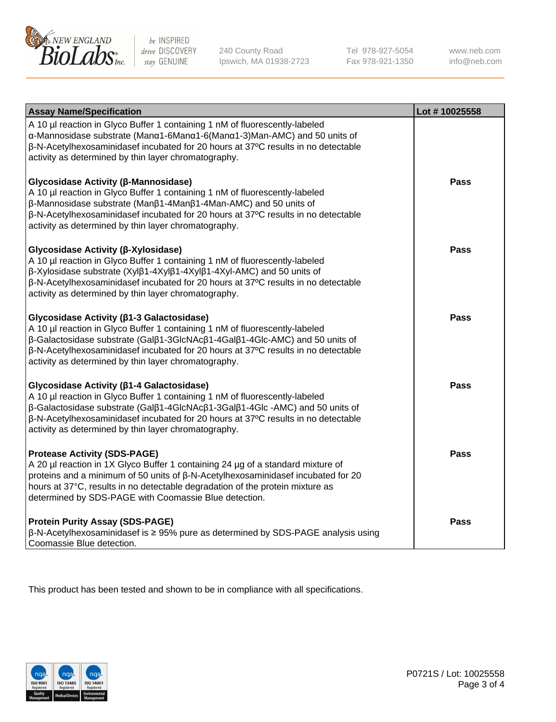

240 County Road Ipswich, MA 01938-2723 Tel 978-927-5054 Fax 978-921-1350 www.neb.com info@neb.com

| <b>Assay Name/Specification</b>                                                                                                                                                                                                                                                                                                                             | Lot #10025558 |
|-------------------------------------------------------------------------------------------------------------------------------------------------------------------------------------------------------------------------------------------------------------------------------------------------------------------------------------------------------------|---------------|
| A 10 µl reaction in Glyco Buffer 1 containing 1 nM of fluorescently-labeled<br>α-Mannosidase substrate (Manα1-6Manα1-6(Manα1-3)Man-AMC) and 50 units of<br>β-N-Acetylhexosaminidasef incubated for 20 hours at 37°C results in no detectable<br>activity as determined by thin layer chromatography.                                                        |               |
| Glycosidase Activity (β-Mannosidase)<br>A 10 µl reaction in Glyco Buffer 1 containing 1 nM of fluorescently-labeled<br>β-Mannosidase substrate (Manβ1-4Manβ1-4Man-AMC) and 50 units of<br>β-N-Acetylhexosaminidasef incubated for 20 hours at 37°C results in no detectable<br>activity as determined by thin layer chromatography.                         | <b>Pass</b>   |
| Glycosidase Activity (β-Xylosidase)<br>A 10 µl reaction in Glyco Buffer 1 containing 1 nM of fluorescently-labeled<br>β-Xylosidase substrate (Xylβ1-4Xylβ1-4Xylβ1-4Xyl-AMC) and 50 units of<br>β-N-Acetylhexosaminidasef incubated for 20 hours at 37°C results in no detectable<br>activity as determined by thin layer chromatography.                    | <b>Pass</b>   |
| Glycosidase Activity (β1-3 Galactosidase)<br>A 10 µl reaction in Glyco Buffer 1 containing 1 nM of fluorescently-labeled<br>β-Galactosidase substrate (Galβ1-3GlcNAcβ1-4Galβ1-4Glc-AMC) and 50 units of<br>β-N-Acetylhexosaminidasef incubated for 20 hours at 37°C results in no detectable<br>activity as determined by thin layer chromatography.        | <b>Pass</b>   |
| Glycosidase Activity (β1-4 Galactosidase)<br>A 10 µl reaction in Glyco Buffer 1 containing 1 nM of fluorescently-labeled<br>β-Galactosidase substrate (Galβ1-4GlcNAcβ1-3Galβ1-4Glc -AMC) and 50 units of<br>β-N-Acetylhexosaminidasef incubated for 20 hours at 37°C results in no detectable<br>activity as determined by thin layer chromatography.       | <b>Pass</b>   |
| <b>Protease Activity (SDS-PAGE)</b><br>A 20 µl reaction in 1X Glyco Buffer 1 containing 24 µg of a standard mixture of<br>proteins and a minimum of 50 units of $\beta$ -N-Acetylhexosaminidasef incubated for 20<br>hours at 37°C, results in no detectable degradation of the protein mixture as<br>determined by SDS-PAGE with Coomassie Blue detection. | <b>Pass</b>   |
| <b>Protein Purity Assay (SDS-PAGE)</b><br>ß-N-Acetylhexosaminidasef is ≥ 95% pure as determined by SDS-PAGE analysis using<br>Coomassie Blue detection.                                                                                                                                                                                                     | <b>Pass</b>   |

This product has been tested and shown to be in compliance with all specifications.